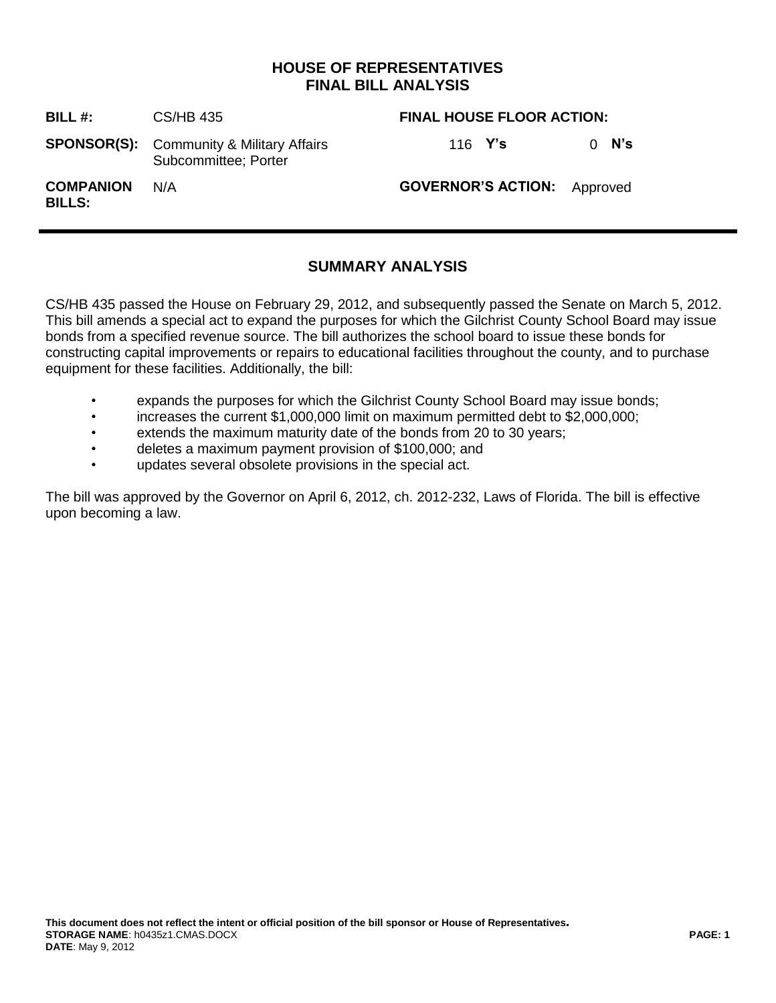## **HOUSE OF REPRESENTATIVES FINAL BILL ANALYSIS**

| BILL $#$ :                        | CS/HB 435                                                               | <b>FINAL HOUSE FLOOR ACTION:</b>   |         |
|-----------------------------------|-------------------------------------------------------------------------|------------------------------------|---------|
|                                   | <b>SPONSOR(S):</b> Community & Military Affairs<br>Subcommittee; Porter | 116 <b>Y's</b>                     | $0$ N's |
| <b>COMPANION</b><br><b>BILLS:</b> | N/A                                                                     | <b>GOVERNOR'S ACTION:</b> Approved |         |

# **SUMMARY ANALYSIS**

CS/HB 435 passed the House on February 29, 2012, and subsequently passed the Senate on March 5, 2012. This bill amends a special act to expand the purposes for which the Gilchrist County School Board may issue bonds from a specified revenue source. The bill authorizes the school board to issue these bonds for constructing capital improvements or repairs to educational facilities throughout the county, and to purchase equipment for these facilities. Additionally, the bill:

- expands the purposes for which the Gilchrist County School Board may issue bonds;
- increases the current \$1,000,000 limit on maximum permitted debt to \$2,000,000;
- extends the maximum maturity date of the bonds from 20 to 30 years;
- deletes a maximum payment provision of \$100,000; and
- updates several obsolete provisions in the special act.

The bill was approved by the Governor on April 6, 2012, ch. 2012-232, Laws of Florida. The bill is effective upon becoming a law.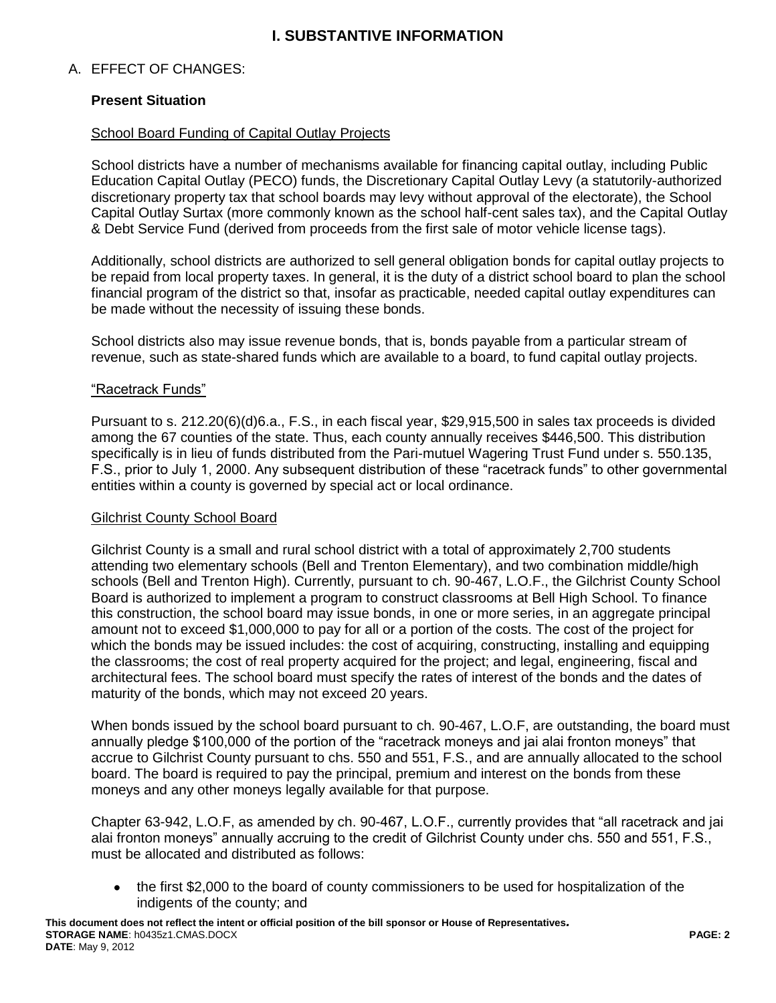# **I. SUBSTANTIVE INFORMATION**

## A. EFFECT OF CHANGES:

### **Present Situation**

#### School Board Funding of Capital Outlay Projects

School districts have a number of mechanisms available for financing capital outlay, including Public Education Capital Outlay (PECO) funds, the Discretionary Capital Outlay Levy (a statutorily-authorized discretionary property tax that school boards may levy without approval of the electorate), the School Capital Outlay Surtax (more commonly known as the school half-cent sales tax), and the Capital Outlay & Debt Service Fund (derived from proceeds from the first sale of motor vehicle license tags).

Additionally, school districts are authorized to sell general obligation bonds for capital outlay projects to be repaid from local property taxes. In general, it is the duty of a district school board to plan the school financial program of the district so that, insofar as practicable, needed capital outlay expenditures can be made without the necessity of issuing these bonds.

School districts also may issue revenue bonds, that is, bonds payable from a particular stream of revenue, such as state-shared funds which are available to a board, to fund capital outlay projects.

#### "Racetrack Funds"

Pursuant to s. 212.20(6)(d)6.a., F.S., in each fiscal year, \$29,915,500 in sales tax proceeds is divided among the 67 counties of the state. Thus, each county annually receives \$446,500. This distribution specifically is in lieu of funds distributed from the Pari-mutuel Wagering Trust Fund under s. 550.135, F.S., prior to July 1, 2000. Any subsequent distribution of these "racetrack funds" to other governmental entities within a county is governed by special act or local ordinance.

#### Gilchrist County School Board

Gilchrist County is a small and rural school district with a total of approximately 2,700 students attending two elementary schools (Bell and Trenton Elementary), and two combination middle/high schools (Bell and Trenton High). Currently, pursuant to ch. 90-467, L.O.F., the Gilchrist County School Board is authorized to implement a program to construct classrooms at Bell High School. To finance this construction, the school board may issue bonds, in one or more series, in an aggregate principal amount not to exceed \$1,000,000 to pay for all or a portion of the costs. The cost of the project for which the bonds may be issued includes: the cost of acquiring, constructing, installing and equipping the classrooms; the cost of real property acquired for the project; and legal, engineering, fiscal and architectural fees. The school board must specify the rates of interest of the bonds and the dates of maturity of the bonds, which may not exceed 20 years.

When bonds issued by the school board pursuant to ch. 90-467, L.O.F, are outstanding, the board must annually pledge \$100,000 of the portion of the "racetrack moneys and jai alai fronton moneys" that accrue to Gilchrist County pursuant to chs. 550 and 551, F.S., and are annually allocated to the school board. The board is required to pay the principal, premium and interest on the bonds from these moneys and any other moneys legally available for that purpose.

Chapter 63-942, L.O.F, as amended by ch. 90-467, L.O.F., currently provides that "all racetrack and jai alai fronton moneys" annually accruing to the credit of Gilchrist County under chs. 550 and 551, F.S., must be allocated and distributed as follows:

• the first \$2,000 to the board of county commissioners to be used for hospitalization of the indigents of the county; and

**This document does not reflect the intent or official position of the bill sponsor or House of Representatives***.* **STORAGE NAME**: h0435z1.CMAS.DOCX **PAGE: 2 DATE**: May 9, 2012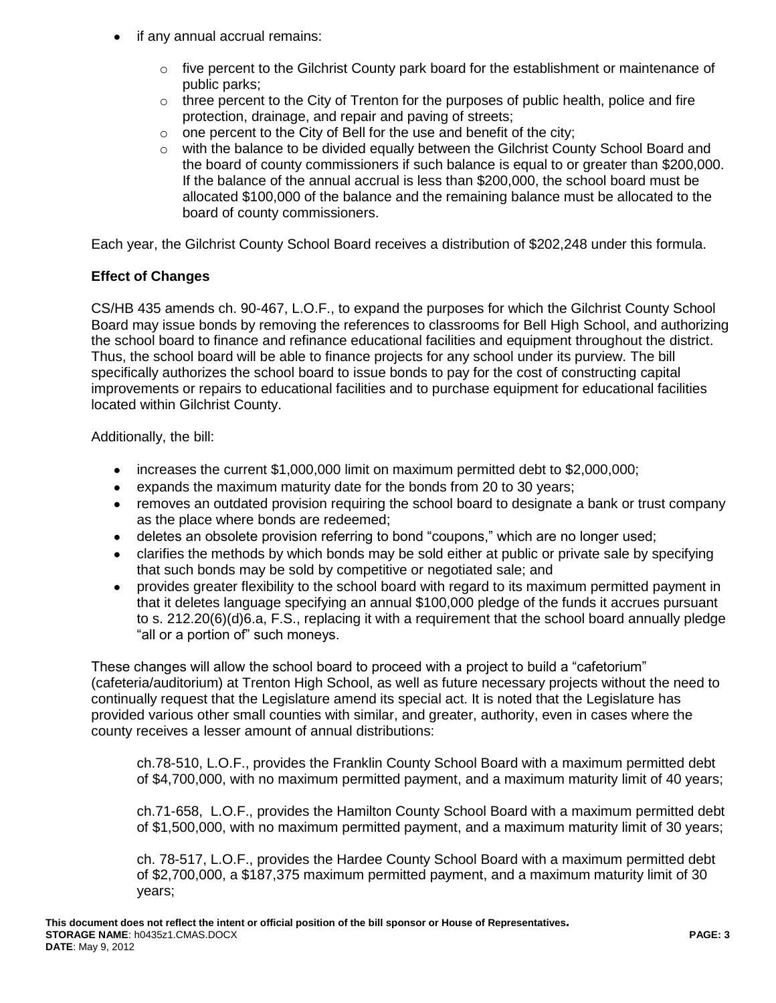- if any annual accrual remains:
	- $\circ$  five percent to the Gilchrist County park board for the establishment or maintenance of public parks;
	- o three percent to the City of Trenton for the purposes of public health, police and fire protection, drainage, and repair and paving of streets;
	- $\circ$  one percent to the City of Bell for the use and benefit of the city;
	- o with the balance to be divided equally between the Gilchrist County School Board and the board of county commissioners if such balance is equal to or greater than \$200,000. If the balance of the annual accrual is less than \$200,000, the school board must be allocated \$100,000 of the balance and the remaining balance must be allocated to the board of county commissioners.

Each year, the Gilchrist County School Board receives a distribution of \$202,248 under this formula.

## **Effect of Changes**

CS/HB 435 amends ch. 90-467, L.O.F., to expand the purposes for which the Gilchrist County School Board may issue bonds by removing the references to classrooms for Bell High School, and authorizing the school board to finance and refinance educational facilities and equipment throughout the district. Thus, the school board will be able to finance projects for any school under its purview. The bill specifically authorizes the school board to issue bonds to pay for the cost of constructing capital improvements or repairs to educational facilities and to purchase equipment for educational facilities located within Gilchrist County.

Additionally, the bill:

- increases the current \$1,000,000 limit on maximum permitted debt to \$2,000,000;
- expands the maximum maturity date for the bonds from 20 to 30 years;
- removes an outdated provision requiring the school board to designate a bank or trust company as the place where bonds are redeemed;
- deletes an obsolete provision referring to bond "coupons," which are no longer used;
- clarifies the methods by which bonds may be sold either at public or private sale by specifying that such bonds may be sold by competitive or negotiated sale; and
- provides greater flexibility to the school board with regard to its maximum permitted payment in  $\bullet$ that it deletes language specifying an annual \$100,000 pledge of the funds it accrues pursuant to s. 212.20(6)(d)6.a, F.S., replacing it with a requirement that the school board annually pledge "all or a portion of" such moneys.

These changes will allow the school board to proceed with a project to build a "cafetorium" (cafeteria/auditorium) at Trenton High School, as well as future necessary projects without the need to continually request that the Legislature amend its special act. It is noted that the Legislature has provided various other small counties with similar, and greater, authority, even in cases where the county receives a lesser amount of annual distributions:

ch.78-510, L.O.F., provides the Franklin County School Board with a maximum permitted debt of \$4,700,000, with no maximum permitted payment, and a maximum maturity limit of 40 years;

ch.71-658, L.O.F., provides the Hamilton County School Board with a maximum permitted debt of \$1,500,000, with no maximum permitted payment, and a maximum maturity limit of 30 years;

ch. 78-517, L.O.F., provides the Hardee County School Board with a maximum permitted debt of \$2,700,000, a \$187,375 maximum permitted payment, and a maximum maturity limit of 30 years;